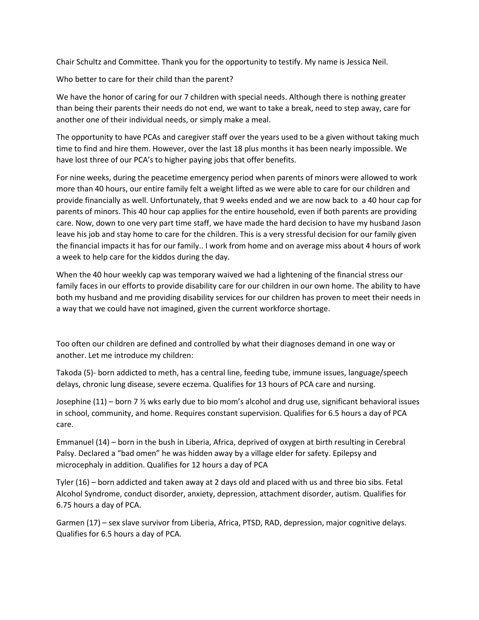Chair Schultz and Committee. Thank you for the opportunity to testify. My name is Jessica Neil.

Who better to care for their child than the parent?

We have the honor of caring for our 7 children with special needs. Although there is nothing greater than being their parents their needs do not end, we want to take a break, need to step away, care for another one of their individual needs, or simply make a meal.

The opportunity to have PCAs and caregiver staff over the years used to be a given without taking much time to find and hire them. However, over the last 18 plus months it has been nearly impossible. We have lost three of our PCA's to higher paying jobs that offer benefits.

For nine weeks, during the peacetime emergency period when parents of minors were allowed to work more than 40 hours, our entire family felt a weight lifted as we were able to care for our children and provide financially as well. Unfortunately, that 9 weeks ended and we are now back to a 40 hour cap for parents of minors. This 40 hour cap applies for the entire household, even if both parents are providing care. Now, down to one very part time staff, we have made the hard decision to have my husband Jason leave his job and stay home to care for the children. This is a very stressful decision for our family given the financial impacts it has for our family.. I work from home and on average miss about 4 hours of work a week to help care for the kiddos during the day.

When the 40 hour weekly cap was temporary waived we had a lightening of the financial stress our family faces in our efforts to provide disability care for our children in our own home. The ability to have both my husband and me providing disability services for our children has proven to meet their needs in a way that we could have not imagined, given the current workforce shortage.

Too often our children are defined and controlled by what their diagnoses demand in one way or another. Let me introduce my children:

Takoda (5)- born addicted to meth, has a central line, feeding tube, immune issues, language/speech delays, chronic lung disease, severe eczema. Qualifies for 13 hours of PCA care and nursing.

Josephine (11) – born 7 ½ wks early due to bio mom's alcohol and drug use, significant behavioral issues in school, community, and home. Requires constant supervision. Qualifies for 6.5 hours a day of PCA care.

Emmanuel (14) – born in the bush in Liberia, Africa, deprived of oxygen at birth resulting in Cerebral Palsy. Declared a "bad omen" he was hidden away by a village elder for safety. Epilepsy and microcephaly in addition. Qualifies for 12 hours a day of PCA

Tyler (16) – born addicted and taken away at 2 days old and placed with us and three bio sibs. Fetal Alcohol Syndrome, conduct disorder, anxiety, depression, attachment disorder, autism. Qualifies for 6.75 hours a day of PCA.

Garmen (17) – sex slave survivor from Liberia, Africa, PTSD, RAD, depression, major cognitive delays. Qualifies for 6.5 hours a day of PCA.